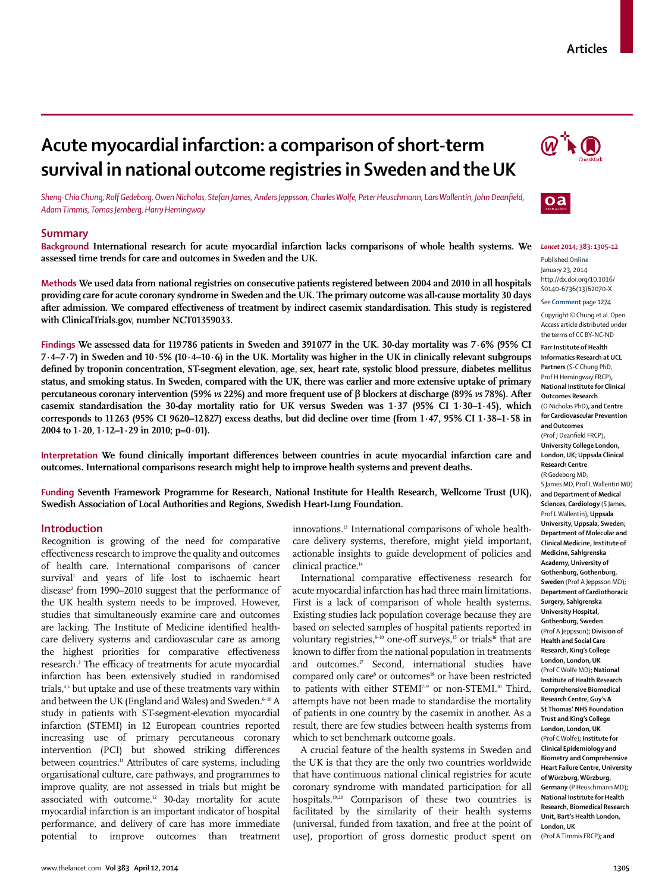# **Acute myocardial infarction: a comparison of short-term survival in national outcome registries in Sweden and the UK**

*Sheng-Chia Chung, Rolf Gedeborg, Owen Nicholas, Stefan James, Anders Jeppsson, Charles Wolfe, Peter Heuschmann, Lars Wallentin, John Deanfi eld, Adam Timmis, Tomas Jernberg, Harry Hemingway*

## **Summary**

**Background International research for acute myocardial infarction lacks comparisons of whole health systems. We assessed time trends for care and outcomes in Sweden and the UK.**

**Methods We used data from national registries on consecutive patients registered between 2004 and 2010 in all hospitals providing care for acute coronary syndrome in Sweden and the UK. The primary outcome was all-cause mortality 30 days** after admission. We compared effectiveness of treatment by indirect casemix standardisation. This study is registered **with ClinicalTrials.gov, number NCT01359033.**

**Findings We assessed data for 119 786 patients in Sweden and 391 077 in the UK. 30-day mortality was 7·6% (95% CI 7·4–7·7) in Sweden and 10·5% (10·4–10·6) in the UK. Mortality was higher in the UK in clinically relevant subgroups** defined by troponin concentration, ST-segment elevation, age, sex, heart rate, systolic blood pressure, diabetes mellitus **status, and smoking status. In Sweden, compared with the UK, there was earlier and more extensive uptake of primary percutaneous coronary intervention (59%** *vs* **22%) and more frequent use of β blockers at discharge (89%** *vs* **78%). After casemix standardisation the 30-day mortality ratio for UK versus Sweden was 1·37 (95% CI 1·30–1·45), which corresponds to 11 263 (95% CI 9620–12 827) excess deaths, but did decline over time (from 1·47, 95% CI 1·38–1·58 in 2004 to 1·20, 1·12–1·29 in 2010; p=0·01).**

Interpretation We found clinically important differences between countries in acute myocardial infarction care and **outcomes. International comparisons research might help to improve health systems and prevent deaths.**

**Funding Seventh Framework Programme for Research, National Institute for Health Research, Wellcome Trust (UK), Swedish Association of Local Authorities and Regions, Swedish Heart-Lung Foundation.**

#### **Introduction**

Recognition is growing of the need for comparative effectiveness research to improve the quality and outcomes of health care. International comparisons of cancer survival1 and years of life lost to ischaemic heart disease<sup>2</sup> from 1990–2010 suggest that the performance of the UK health system needs to be improved. However, studies that simultaneously examine care and outcomes are lacking. The Institute of Medicine identified healthcare delivery systems and cardiovascular care as among the highest priorities for comparative effectiveness research.<sup>3</sup> The efficacy of treatments for acute myocardial infarction has been extensively studied in randomised trials,<sup>4,5</sup> but uptake and use of these treatments vary within and between the UK (England and Wales) and Sweden.<sup>6-10</sup> A study in patients with ST-segment-elevation myocardial infarction (STEMI) in 12 European countries reported increasing use of primary percutaneous coronary intervention (PCI) but showed striking differences between countries.<sup>11</sup> Attributes of care systems, including organisational culture, care pathways, and programmes to improve quality, are not assessed in trials but might be associated with outcome.12 30-day mortality for acute myocardial infarction is an important indicator of hospital performance, and delivery of care has more immediate potential to improve outcomes than treatment

innovations.<sup>13</sup> International comparisons of whole healthcare delivery systems, therefore, might yield important, actionable insights to guide development of policies and clinical practice.<sup>14</sup>

International comparative effectiveness research for acute myocardial infarction has had three main limitations. First is a lack of comparison of whole health systems. Existing studies lack population coverage because they are based on selected samples of hospital patients reported in voluntary registries, $8-10$  one-off surveys,<sup>15</sup> or trials<sup>16</sup> that are known to differ from the national population in treatments and outcomes.17 Second, international studies have compared only care<sup>8</sup> or outcomes<sup>18</sup> or have been restricted to patients with either STEMI<sup>7-9</sup> or non-STEMI.<sup>10</sup> Third, attempts have not been made to standardise the mortality of patients in one country by the casemix in another. As a result, there are few studies between health systems from which to set benchmark outcome goals.

A crucial feature of the health systems in Sweden and the UK is that they are the only two countries worldwide that have continuous national clinical registries for acute coronary syndrome with mandated participation for all hospitals.19,20 Comparison of these two countries is facilitated by the similarity of their health systems (universal, funded from taxation, and free at the point of use), proportion of gross domestic product spent on





#### *Lancet* **2014; 383: 1305–12**

Published **Online** January 23, 2014 http://dx.doi.org/10.1016/ S0140-6736(13)62070-X

See **Comment** page 1274

Copyright © Chung et al. Open Access article distributed under the terms of CC BY-NC-ND

**Farr Institute of Health Informatics Research at UCL Partners** (S-C Chung PhD, Prof H Hemingway FRCP)**, National Institute for Clinical Outcomes Research** (O Nicholas PhD)**, and Centre for Cardiovascular Prevention and Outcomes** (Prof J Deanfi eld FRCP)**, University College London, London, UK; Uppsala Clinical Research Centre** (R Gedeborg MD, S James MD, Prof L Wallentin MD) **and Department of Medical Sciences, Cardiology** (S James, Prof L Wallentin)**, Uppsala University, Uppsala, Sweden; Department of Molecular and Clinical Medicine, Institute of Medicine, Sahlgrenska Academy, University of Gothenburg, Gothenburg, Sweden** (Prof A Jeppsson MD)**; Department of Cardiothoracic Surgery, Sahlgrenska University Hospital, Gothenburg, Sweden** (Prof A Jeppsson)**; Division of Health and Social Care Research, King's College London, London, UK** (Prof C Wolfe MD)**; National Institute of Health Research Comprehensive Biomedical Research Centre, Guy's & St Thomas' NHS Foundation Trust and King's College London, London, UK** (Prof C Wolfe)**; Institute for Clinical Epidemiology and Biometry and Comprehensive Heart Failure Centre, University of Würzburg, Würzburg, Germany** (P Heuschmann MD)**; National Institute for Health Research, Biomedical Research** 

**Unit, Bart's Health London, London, UK**

(Prof A Timmis FRCP)**; and**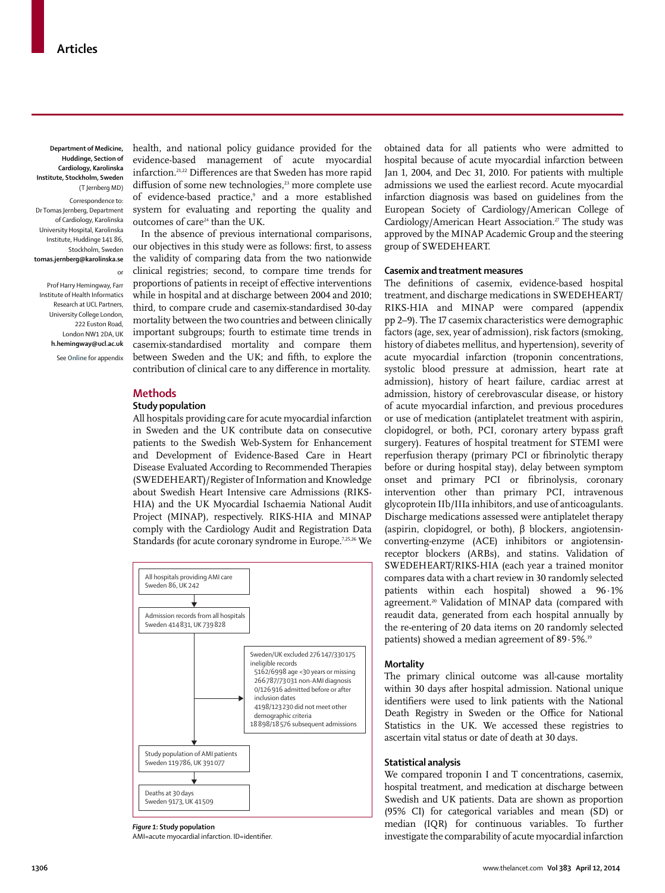**Department of Medicine, Huddinge, Section of Cardiology, Karolinska Institute, Stockholm, Sweden** (T Jernberg MD)

Correspondence to: Dr Tomas Jernberg, Department of Cardiology, Karolinska University Hospital, Karolinska Institute, Huddinge 141 86, Stockholm, Sweden **tomas.jernberg@karolinska.se**

Prof Harry Hemingway, Farr Institute of Health Informatics Research at UCL Partners, University College London, 222 Euston Road, London NW1 2DA, UK **h.hemingway@ucl.ac.uk**

or

See **Online** for appendix

health, and national policy guidance provided for the evidence-based management of acute myocardial infarction.<sup>21,22</sup> Differences are that Sweden has more rapid diffusion of some new technologies,<sup>23</sup> more complete use of evidence-based practice,<sup>9</sup> and a more established system for evaluating and reporting the quality and outcomes of care24 than the UK.

In the absence of previous international comparisons, our objectives in this study were as follows: first, to assess the validity of comparing data from the two nationwide clinical registries; second, to compare time trends for proportions of patients in receipt of effective interventions while in hospital and at discharge between 2004 and 2010; third, to compare crude and casemix-standardised 30-day mortality between the two countries and between clinically important subgroups; fourth to estimate time trends in casemix-standardised mortality and compare them between Sweden and the UK; and fifth, to explore the contribution of clinical care to any difference in mortality.

## **Methods**

## **Study population**

All hospitals providing care for acute myocardial infarction in Sweden and the UK contribute data on consecutive patients to the Swedish Web-System for Enhancement and Development of Evidence-Based Care in Heart Disease Evaluated According to Recommended Therapies (SWEDEHEART)/Register of Information and Knowledge about Swedish Heart Intensive care Admissions (RIKS-HIA) and the UK Myocardial Ischaemia National Audit Project (MINAP), respectively. RIKS-HIA and MINAP comply with the Cardiology Audit and Registration Data Standards (for acute coronary syndrome in Europe.<sup>7,25,26</sup> We



*Figure 1***: Study population**

AMI=acute myocardial infarction. ID=identifier.

obtained data for all patients who were admitted to hospital because of acute myocardial infarction between Jan 1, 2004, and Dec 31, 2010. For patients with multiple admissions we used the earliest record. Acute myocardial infarction diagnosis was based on guidelines from the European Society of Cardiology/American College of Cardiology/American Heart Association.<sup>27</sup> The study was approved by the MINAP Academic Group and the steering group of SWEDEHEART.

#### **Casemix and treatment measures**

The definitions of casemix, evidence-based hospital treatment, and discharge medications in SWEDEHEART/ RIKS-HIA and MINAP were compared (appendix pp 2–9). The 17 casemix characteristics were demographic factors (age, sex, year of admission), risk factors (smoking, history of diabetes mellitus, and hypertension), severity of acute myocardial infarction (troponin concentrations, systolic blood pressure at admission, heart rate at admission), history of heart failure, cardiac arrest at admission, history of cerebrovascular disease, or history of acute myocardial infarction, and previous procedures or use of medication (antiplatelet treatment with aspirin, clopidogrel, or both, PCI, coronary artery bypass graft surgery). Features of hospital treatment for STEMI were reperfusion therapy (primary PCI or fibrinolytic therapy before or during hospital stay), delay between symptom onset and primary PCI or fibrinolysis, coronary intervention other than primary PCI, intravenous glycoprotein IIb/IIIa inhibitors, and use of anticoagulants. Discharge medications assessed were antiplatelet therapy (aspirin, clopidogrel, or both), β blockers, angiotensinconverting-enzyme (ACE) inhibitors or angiotensinreceptor blockers (ARBs), and statins. Validation of SWEDEHEART/RIKS-HIA (each year a trained monitor compares data with a chart review in 30 randomly selected patients within each hospital) showed a 96·1% agreement.<sup>20</sup> Validation of MINAP data (compared with reaudit data, generated from each hospital annually by the re-entering of 20 data items on 20 randomly selected patients) showed a median agreement of 89.5%.<sup>19</sup>

#### **Mortality**

The primary clinical outcome was all-cause mortality within 30 days after hospital admission. National unique identifiers were used to link patients with the National Death Registry in Sweden or the Office for National Statistics in the UK. We accessed these registries to ascertain vital status or date of death at 30 days.

#### **Statistical analysis**

We compared troponin I and T concentrations, casemix, hospital treatment, and medication at discharge between Swedish and UK patients. Data are shown as proportion (95% CI) for categorical variables and mean (SD) or median (IQR) for continuous variables. To further investigate the comparability of acute myocardial infarction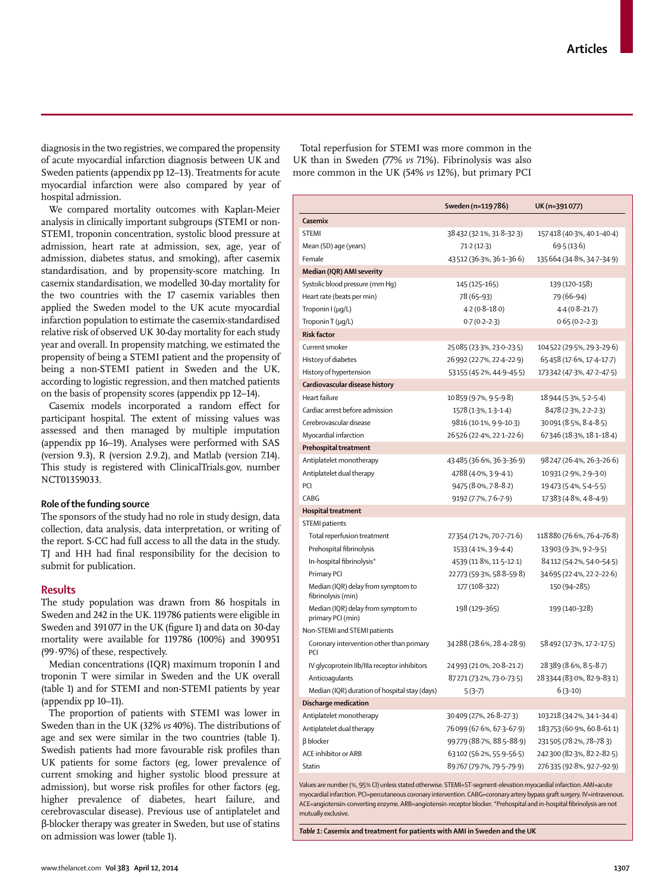diagnosis in the two registries, we compared the propensity of acute myocardial infarction diagnosis between UK and Sweden patients (appendix pp 12–13). Treatments for acute myocardial infarction were also compared by year of hospital admission.

We compared mortality outcomes with Kaplan-Meier analysis in clinically important subgroups (STEMI or non-STEMI, troponin concentration, systolic blood pressure at admission, heart rate at admission, sex, age, year of admission, diabetes status, and smoking), after casemix standardisation, and by propensity-score matching. In casemix standardisation, we modelled 30-day mortality for the two countries with the 17 casemix variables then applied the Sweden model to the UK acute myocardial infarction population to estimate the casemix-standardised relative risk of observed UK 30-day mortality for each study year and overall. In propensity matching, we estimated the propensity of being a STEMI patient and the propensity of being a non-STEMI patient in Sweden and the UK, according to logistic regression, and then matched patients on the basis of propensity scores (appendix pp 12–14).

Casemix models incorporated a random effect for participant hospital. The extent of missing values was assessed and then managed by multiple imputation (appendix pp 16–19). Analyses were performed with SAS (version 9.3), R (version 2.9.2), and Matlab (version 7.14). This study is registered with ClinicalTrials.gov, number NCT01359033.

## **Role of the funding source**

The sponsors of the study had no role in study design, data collection, data analysis, data interpretation, or writing of the report. S-CC had full access to all the data in the study. TJ and HH had final responsibility for the decision to submit for publication.

## **Results**

The study population was drawn from 86 hospitals in Sweden and 242 in the UK. 119 786 patients were eligible in Sweden and 391077 in the UK (figure 1) and data on 30-day mortality were available for 119 786 (100%) and 390 951 (99·97%) of these, respectively.

Median concentrations (IQR) maximum troponin I and troponin T were similar in Sweden and the UK overall (table 1) and for STEMI and non-STEMI patients by year (appendix pp 10–11).

The proportion of patients with STEMI was lower in Sweden than in the UK (32% *vs* 40%). The distributions of age and sex were similar in the two countries (table 1). Swedish patients had more favourable risk profiles than UK patients for some factors (eg, lower prevalence of current smoking and higher systolic blood pressure at admission), but worse risk profiles for other factors (eg, higher prevalence of diabetes, heart failure, and cerebrovascular disease). Previous use of antiplatelet and β-blocker therapy was greater in Sweden, but use of statins on admission was lower (table 1).

Total reperfusion for STEMI was more common in the UK than in Sweden (77% *vs* 71%). Fibrinolysis was also more common in the UK (54% *vs* 12%), but primary PCI

|                                                          | Sweden (n=119786)               | UK (n=391077)                                          |
|----------------------------------------------------------|---------------------------------|--------------------------------------------------------|
| Casemix                                                  |                                 |                                                        |
| <b>STEMI</b>                                             | 38 432 (32.1%, 31.8-32.3)       | 157418 (40.3%, 40.1-40.4)                              |
| Mean (SD) age (years)                                    | 71.2(12.3)                      | 69.5(13.6)                                             |
| Female                                                   | 43512 (36.3%, 36.1-36.6)        | 135 664 (34 8%, 34 7 - 34 9)                           |
| Median (IQR) AMI severity                                |                                 |                                                        |
| Systolic blood pressure (mm Hq)                          | 145 (125-165)                   | 139 (120-158)                                          |
| Heart rate (beats per min)                               | 78 (65-93)                      | 79 (66-94)                                             |
| Troponin I (µg/L)                                        | $4.2(0.8-18.0)$                 | $4.4(0.8-21.7)$                                        |
| Troponin T (µq/L)                                        | $0.7(0.2 - 2.3)$                | $0.65(0.2 - 2.3)$                                      |
| <b>Risk factor</b>                                       |                                 |                                                        |
| Current smoker                                           | 25 085 (23.3%, 23.0–23.5)       | 104 522 (29.5%, 29.3-29.6)                             |
| History of diabetes                                      | 26 992 (22 7%, 22 - 4 - 22 - 9) | 65458 (17.6%, 17.4-17.7)                               |
| History of hypertension                                  | 53 155 (45-2%, 44-9-45-5)       | 173 342 (47 - 3%, 47 - 2 - 47 - 5)                     |
| Cardiovascular disease history                           |                                 |                                                        |
| Heart failure                                            | 10859 (9.7%, 9.5-9.8)           | 18944 (5.3%, 5.2-5.4)                                  |
| Cardiac arrest before admission                          | 1578 (1.3%, 1.3-1.4)            | 8478 (2.3%, 2.2–2.3)                                   |
| Cerebrovascular disease                                  | 9816 (10-1%, 9-9-10-3)          | 30091 (8.5%, 8.4-8.5)                                  |
| Myocardial infarction                                    | 26 526 (22 4%, 22 1 - 22 6)     | 67346 (18.3%, 18.1-18.4)                               |
| Prehospital treatment                                    |                                 |                                                        |
| Antiplatelet monotherapy                                 | 43485 (36.6%, 36.3-36.9)        | 98247 (26.4%, 26.3-26.6)                               |
| Antiplatelet dual therapy                                | 4788 (4.0%, 3.9-4.1)            | 10931 (2.9%, 2.9-3.0)                                  |
| PCI                                                      | 9475 (8.0%, 7.8-8.2)            | 19473 (5.4%, 5.4–5.5)                                  |
| CABG                                                     | 9192 (7.7%, 7.6-7.9)            | 17383 (4.8%, 4.8-4.9)                                  |
| Hospital treatment                                       |                                 |                                                        |
| <b>STEMI</b> patients                                    |                                 |                                                        |
| Total reperfusion treatment                              | 27354 (71.2%, 70.7-71.6)        | 118880 (76.6%, 76.4–76.8)                              |
| Prehospital fibrinolysis                                 | 1533 (4.1%, 3.9-4.4)            | 13 903 (9.3%, 9.2-9.5)                                 |
| In-hospital fibrinolysis*                                | 4539 (11.8%, 11.5-12.1)         | 84112 (54-2%, 54-0-54-5)                               |
| Primary PCI                                              | 22773 (59.3%, 58.8–59.8)        | 34 695 (22.4%, 22.2-22.6)                              |
| Median (IQR) delay from symptom to<br>fibrinolysis (min) | 177 (108-322)                   | 150 (94-285)                                           |
| Median (IQR) delay from symptom to<br>primary PCI (min)  | 198 (129-365)                   | 199 (140-328)                                          |
| Non-STEMI and STEMI patients                             |                                 |                                                        |
| Coronary intervention other than primary<br>PCI          | 34288 (28.6%, 28.4–28.9)        | 58 492 (17.3%, 17.2–17.5)                              |
| IV glycoprotein IIb/IIIa receptor inhibitors             | 24 993 (21.0%, 20.8-21.2)       | 28389 (8.6%, 8.5-8.7)                                  |
| Anticoaqulants                                           | 87 271 (73.2%, 73.0-73.5)       | 283344 (83.0%, 82.9-83.1)                              |
| Median (IQR) duration of hospital stay (days)            |                                 |                                                        |
| <b>Discharge medication</b>                              | $5(3-7)$                        | $6(3-10)$                                              |
| Antiplatelet monotherapy                                 |                                 |                                                        |
|                                                          | 30409 (27%, 26-8-27-3)          | 103 218 (34-2%, 34-1-34-4)                             |
| Antiplatelet dual therapy                                | 76 099 (67.6%, 67.3-67.9)       |                                                        |
| <b>B</b> blocker                                         | 99779 (88-7%, 88-5-88-9)        | 231505 (78.2%, 78-78.3)                                |
| ACE inhibitor or ARB                                     | 63102 (56.2%, 55.9–56.5)        | 183753 (60.9%, 60.8-61.1)<br>242300 (82.3%, 82.2-82.5) |

Values are number (%, 95% CI) unless stated otherwise. STEMI=ST-segment-elevation myocardial infarction. AMI=acute myocardial infarction. PCI=percutaneous coronary intervention. CABG=coronary artery bypass graft surgery. IV=intravenous. ACE=angiotensin-converting enzyme. ARB=angiotensin-receptor blocker. \*Prehospital and in-hospital fibrinolysis are not mutually exclusive.

*Table 1***: Casemix and treatment for patients with AMI in Sweden and the UK**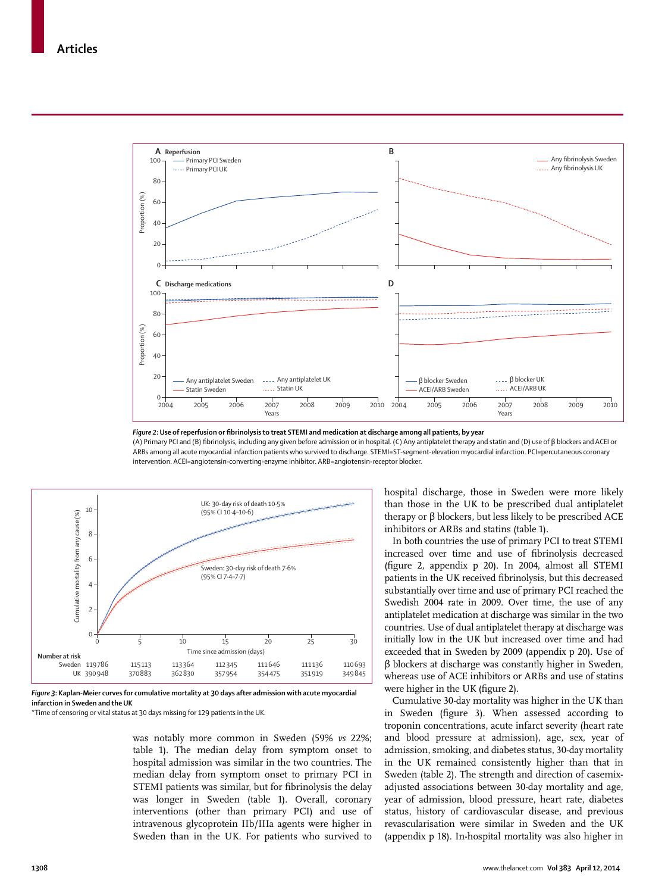

*Figure 2***: Use of reperfusion or fi brinolysis to treat STEMI and medication at discharge among all patients, by year**

(A) Primary PCI and (B) fi brinolysis, including any given before admission or in hospital. (C) Any antiplatelet therapy and statin and (D) use of β blockers and ACEI or ARBs among all acute myocardial infarction patients who survived to discharge. STEMI=ST-segment-elevation myocardial infarction. PCI=percutaneous coronary intervention. ACEI=angiotensin-converting-enzyme inhibitor. ARB=angiotensin-receptor blocker.



*Figure 3***: Kaplan-Meier curves for cumulative mortality at 30 days after admission with acute myocardial infarction in Sweden and the UK**

\*Time of censoring or vital status at 30 days missing for 129 patients in the UK.

was notably more common in Sweden (59% *vs* 22%; table 1). The median delay from symptom onset to hospital admission was similar in the two countries. The median delay from symptom onset to primary PCI in STEMI patients was similar, but for fibrinolysis the delay was longer in Sweden (table 1). Overall, coronary interventions (other than primary PCI) and use of intravenous glycoprotein IIb/IIIa agents were higher in Sweden than in the UK. For patients who survived to hospital discharge, those in Sweden were more likely than those in the UK to be prescribed dual antiplatelet therapy or β blockers, but less likely to be prescribed ACE inhibitors or ARBs and statins (table 1).

In both countries the use of primary PCI to treat STEMI increased over time and use of fibrinolysis decreased (figure 2, appendix p 20). In 2004, almost all STEMI patients in the UK received fibrinolysis, but this decreased substantially over time and use of primary PCI reached the Swedish 2004 rate in 2009. Over time, the use of any antiplatelet medication at discharge was similar in the two countries. Use of dual antiplatelet therapy at discharge was initially low in the UK but increased over time and had exceeded that in Sweden by 2009 (appendix p 20). Use of β blockers at discharge was constantly higher in Sweden, whereas use of ACE inhibitors or ARBs and use of statins were higher in the UK (figure 2).

Cumulative 30-day mortality was higher in the UK than in Sweden (figure 3). When assessed according to troponin concentrations, acute infarct severity (heart rate and blood pressure at admission), age, sex, year of admission, smoking, and diabetes status, 30-day mortality in the UK remained consistently higher than that in Sweden (table 2). The strength and direction of casemixadjusted associations between 30-day mortality and age, year of admission, blood pressure, heart rate, diabetes status, history of cardiovascular disease, and previous revascularisation were similar in Sweden and the UK (appendix p 18). In-hospital mortality was also higher in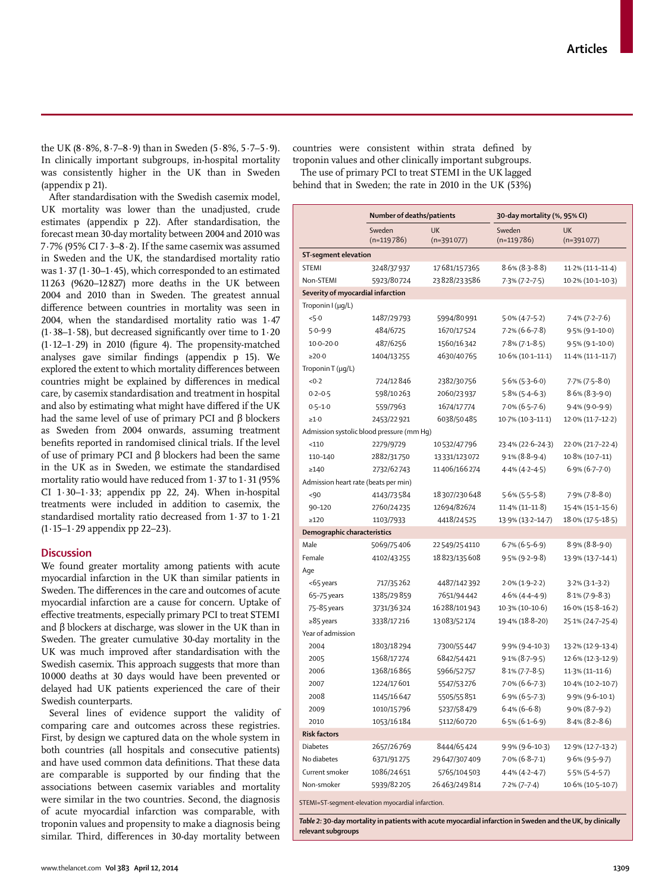www.thelancet.com**Vol 383 April 12, 2014 1309**

the UK  $(8.8\%, 8.7-8.9)$  than in Sweden  $(5.8\%, 5.7-5.9)$ . In clinically important subgroups, in-hospital mortality was consistently higher in the UK than in Sweden (appendix p 21).

After standardisation with the Swedish casemix model, UK mortality was lower than the unadjusted, crude estimates (appendix p 22). After standardisation, the forecast mean 30-day mortality between 2004 and 2010 was 7·7% (95% CI 7·3–8·2). If the same casemix was assumed in Sweden and the UK, the standardised mortality ratio was 1·37 (1·30–1·45), which corresponded to an estimated 11 263 (9620–12 827) more deaths in the UK between 2004 and 2010 than in Sweden. The greatest annual difference between countries in mortality was seen in 2004, when the standardised mortality ratio was 1·47 (1 $\cdot$ 38–1 $\cdot$ 58), but decreased significantly over time to 1 $\cdot$ 20  $(1.12-1.29)$  in 2010 (figure 4). The propensity-matched analyses gave similar findings (appendix p 15). We explored the extent to which mortality differences between countries might be explained by differences in medical care, by casemix standardisation and treatment in hospital and also by estimating what might have differed if the UK had the same level of use of primary PCI and β blockers as Sweden from 2004 onwards, assuming treatment benefits reported in randomised clinical trials. If the level of use of primary PCI and β blockers had been the same in the UK as in Sweden, we estimate the standardised mortality ratio would have reduced from 1·37 to 1·31 (95% CI  $1.30-1.33$ ; appendix pp 22, 24). When in-hospital treatments were included in addition to casemix, the standardised mortality ratio decreased from 1·37 to 1·21 (1·15–1·29 appendix pp 22–23).

## **Discussion**

We found greater mortality among patients with acute myocardial infarction in the UK than similar patients in Sweden. The differences in the care and outcomes of acute myocardial infarction are a cause for concern. Uptake of effective treatments, especially primary PCI to treat STEMI and  $β$  blockers at discharge, was slower in the UK than in Sweden. The greater cumulative 30-day mortality in the UK was much improved after standardisation with the Swedish casemix. This approach suggests that more than 10 000 deaths at 30 days would have been prevented or delayed had UK patients experienced the care of their Swedish counterparts.

Several lines of evidence support the validity of comparing care and outcomes across these registries. First, by design we captured data on the whole system in both countries (all hospitals and consecutive patients) and have used common data definitions. That these data are comparable is supported by our finding that the associations between casemix variables and mortality were similar in the two countries. Second, the diagnosis of acute myocardial infarction was comparable, with troponin values and propensity to make a diagnosis being similar. Third, differences in 30-day mortality between

countries were consistent within strata defined by troponin values and other clinically important subgroups. The use of primary PCI to treat STEMI in the UK lagged

behind that in Sweden; the rate in 2010 in the UK (53%)

|                                                   | Number of deaths/patients |                           | 30-day mortality (%, 95% CI) |                           |  |  |  |
|---------------------------------------------------|---------------------------|---------------------------|------------------------------|---------------------------|--|--|--|
|                                                   | Sweden<br>$(n=119786)$    | <b>UK</b><br>$(n=391077)$ | Sweden<br>$(n=119786)$       | <b>UK</b><br>$(n=391077)$ |  |  |  |
| ST-segment elevation                              |                           |                           |                              |                           |  |  |  |
| STEMI                                             | 3248/37937                | 17681/157365              | $8.6\%$ (8.3-8.8)            | 11.2% (11.1-11.4)         |  |  |  |
| Non-STEMI                                         | 5923/80724                | 23828/233586              | $7.3\%$ (7.2-7.5)            | 10.2% (10.1-10.3)         |  |  |  |
| Severity of myocardial infarction                 |                           |                           |                              |                           |  |  |  |
| Troponin I (µg/L)                                 |                           |                           |                              |                           |  |  |  |
| $5 - 0$                                           | 1487/29793                | 5994/80991                | $5.0\%$ (4.7-5.2)            | 7 4% (7 2–7 6)            |  |  |  |
| $5.0 - 9.9$                                       | 484/6725                  | 1670/17524                | $7.2\% (6.6–7.8)$            | $9.5\%$ (9.1-10.0)        |  |  |  |
| $10-0-20-0$                                       | 487/6256                  | 1560/16342                | $7.8\%$ (7.1-8.5)            | $9.5\%$ (9.1-10.0)        |  |  |  |
| $\geq$ 20 $\cdot$ 0                               | 1404/13255                | 4630/40765                | 10.6% (10.1-11.1)            | 11.4% (11.1-11.7)         |  |  |  |
| Troponin T (µg/L)                                 |                           |                           |                              |                           |  |  |  |
| <0.2                                              | 724/12846                 | 2382/30756                | $5.6\%$ (5.3–6.0)            | 7.7% (7.5–8.0)            |  |  |  |
| $0.2 - 0.5$                                       | 598/10263                 | 2060/23937                | $5.8\%$ (5.4–6.3)            | $8.6\%$ ( $8.3 - 9.0$ )   |  |  |  |
| $0.5 - 1.0$                                       | 559/7963                  | 1674/17774                | $7.0\%$ (6.5-7.6)            | $9.4\%$ (9.0-9.9)         |  |  |  |
| $\geq 1.0$                                        | 2453/22921                | 6038/50485                | 10.7% (10.3-11.1)            | 12.0% (11.7-12.2)         |  |  |  |
| Admission systolic blood pressure (mm Hq)         |                           |                           |                              |                           |  |  |  |
| < 110                                             | 2279/9729                 | 10532/47796               | 23-4% (22-6-24-3)            | 22.0% (21.7-22.4)         |  |  |  |
| 110-140                                           | 2882/31750                | 13331/123072              | $9.1\%$ (8.8–9.4)            | 10.8% (10.7-11)           |  |  |  |
| >140                                              | 2732/62743                | 11406/166274              | $4.4\%$ (4.2-4.5)            | $6.9\%$ (6.7–7.0)         |  |  |  |
| Admission heart rate (beats per min)              |                           |                           |                              |                           |  |  |  |
| $-90$                                             | 4143/73584                | 18307/230648              | $5.6\%$ (5.5–5.8)            | 7.9% (7.8-8.0)            |  |  |  |
| 90-120                                            | 2760/24235                | 12694/82674               | $11.4\% (11-11.8)$           | 15.4% (15.1-15.6)         |  |  |  |
| >120                                              | 1103/7933                 | 4418/24525                | 13.9% (13.2-14.7)            | 18.0% (17.5-18.5)         |  |  |  |
| Demographic characteristics                       |                           |                           |                              |                           |  |  |  |
| Male                                              | 5069/75406                | 22 549/25 4110            | $6.7\%$ (6.5–6.9)            | $8.9\%$ ( $8.8-9.0$ )     |  |  |  |
| Female                                            | 4102/43255                | 18823/135608              | $9.5\%$ (9.2–9.8)            | 13.9% (13.7-14.1)         |  |  |  |
| Age                                               |                           |                           |                              |                           |  |  |  |
| <65 years                                         | 717/35262                 | 4487/142392               | $2.0\%$ (1.9–2.2)            | $3.2\%$ (3.1-3.2)         |  |  |  |
| 65-75 years                                       | 1385/29859                | 7651/94442                | $4.6\%$ (4.4–4.9)            | $8.1\%$ (7.9-8.3)         |  |  |  |
| 75-85 years                                       | 3731/36324                | 16288/101943              | 10.3% (10-10.6)              | $16.0\% (15.8 - 16.2)$    |  |  |  |
| $\geq 85$ years                                   | 3338/17216                | 13083/52174               | 19-4% (18-8–20)              | 25.1% (24.7-25.4)         |  |  |  |
| Year of admission                                 |                           |                           |                              |                           |  |  |  |
| 2004                                              | 1803/18294                | 7300/55447                | $9.9\%$ (9.4-10.3)           | 13.2% (12.9-13.4)         |  |  |  |
| 2005                                              | 1568/17274                | 6842/54421                | $9.1\% (8.7 - 9.5)$          | $12.6\% (12.3 - 12.9)$    |  |  |  |
| 2006                                              | 1368/16865                | 5966/52757                | $8.1\%$ (7.7-8.5)            | $11.3\%$ (11-11.6)        |  |  |  |
| 2007                                              | 1224/17601                | 5547/53276                | $7.0\%$ (6.6-7.3)            | 10-4% (10-2-10-7)         |  |  |  |
| 2008                                              | 1145/16 647               | 5505/55851                | $6.9\%$ (6.5–7.3)            | $9.9\%$ (9.6-10.1)        |  |  |  |
| 2009                                              | 1010/15796                | 5237/58479                | $6.4\%$ (6-6.8)              | $9.0\% (8.7 - 9.2)$       |  |  |  |
| 2010                                              | 1053/16184                | 5112/60720                | $6.5\%$ (6.1–6.9)            | $8.4\%$ ( $8.2-8.6$ )     |  |  |  |
| <b>Risk factors</b>                               |                           |                           |                              |                           |  |  |  |
| <b>Diabetes</b>                                   | 2657/26769                | 8444/65424                | 9.9% (9.6–10.3)              | 12.9% (12.7-13.2)         |  |  |  |
| No diabetes                                       | 6371/91275                | 29 647/307 409            | $7.0\%$ (6.8–7.1)            | $9.6\%$ (9.5–9.7)         |  |  |  |
| Current smoker                                    | 1086/24651                | 5765/104503               | $4.4\%$ (4.2-4.7)            | $5.5\%$ (5.4-5.7)         |  |  |  |
| Non-smoker                                        | 5939/82205                | 26463/249814              | $7.2\% (7-7.4)$              | 10.6% (10.5-10.7)         |  |  |  |
| STEMI=ST-segment-elevation myocardial infarction. |                           |                           |                              |                           |  |  |  |

*Table 2:* **30-day mortality in patients with acute myocardial infarction in Sweden and the UK, by clinically relevant subgroups**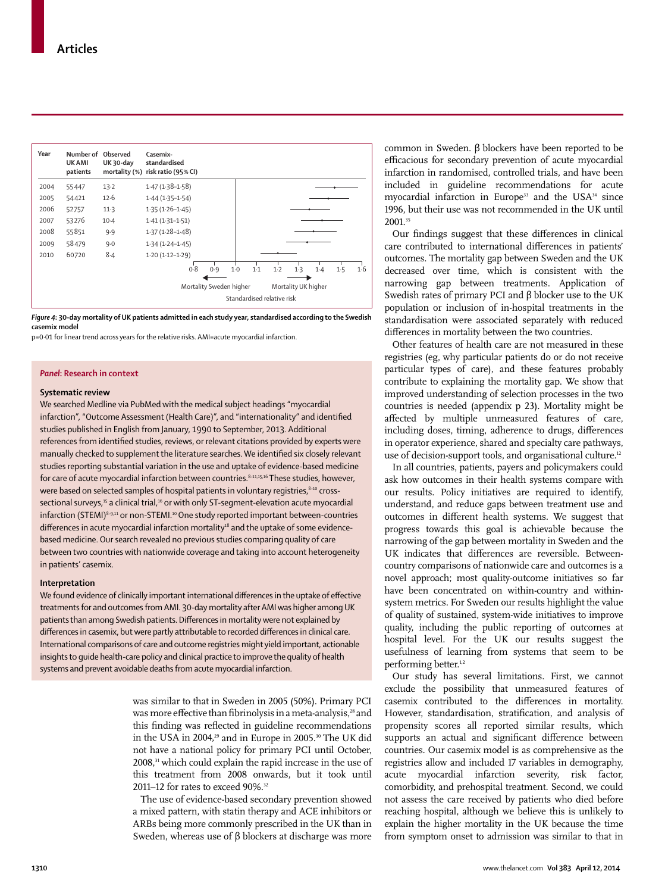| Year | Number of Observed<br><b>UK AMI</b><br>patients | <b>UK30-day</b> | Casemix-<br>standardised<br>mortality (%) risk ratio (95% CI) |     |       |       |                     |     |     |     |     |
|------|-------------------------------------------------|-----------------|---------------------------------------------------------------|-----|-------|-------|---------------------|-----|-----|-----|-----|
| 2004 | 55447                                           | $13-2$          | $1.47(1.38 - 1.58)$                                           |     |       |       |                     |     |     |     |     |
| 2005 | 54421                                           | 12.6            | $1.44(1.35-1.54)$                                             |     |       |       |                     |     |     |     |     |
| 2006 | 52757                                           | $11-3$          | $1.35(1.26 - 1.45)$                                           |     |       |       |                     |     |     |     |     |
| 2007 | 53276                                           | $10-4$          | $1.41(1.31 - 1.51)$                                           |     |       |       |                     |     |     |     |     |
| 2008 | 55851                                           | 9.9             | $1.37(1.28 - 1.48)$                                           |     |       |       |                     |     |     |     |     |
| 2009 | 58479                                           | $9 - 0$         | $1.34(1.24 - 1.45)$                                           |     |       |       |                     |     |     |     |     |
| 2010 | 60720                                           | $8-4$           | $1.20(1.12 - 1.29)$                                           |     |       |       |                     |     |     |     |     |
|      |                                                 |                 | 0.8                                                           | 0.9 | $1-0$ | $1-1$ | $1-2$               | 1.3 | 1.4 | 1.5 | 1·6 |
|      |                                                 |                 | Mortality Sweden higher                                       |     |       |       | Mortality UK higher |     |     |     |     |
|      | Standardised relative risk                      |                 |                                                               |     |       |       |                     |     |     |     |     |

*Figure 4***: 30-day mortality of UK patients admitted in each study year, standardised according to the Swedish casemix model**

p=0·01 for linear trend across years for the relative risks. AMI=acute myocardial infarction.

## *Panel***: Research in context**

#### **Systematic review**

We searched Medline via PubMed with the medical subject headings "myocardial infarction", "Outcome Assessment (Health Care)", and "internationality" and identified studies published in English from January, 1990 to September, 2013. Additional references from identified studies, reviews, or relevant citations provided by experts were manually checked to supplement the literature searches. We identified six closely relevant studies reporting substantial variation in the use and uptake of evidence-based medicine for care of acute myocardial infarction between countries. 8-11,15,16 These studies, however, were based on selected samples of hospital patients in voluntary registries,<sup>8-10</sup> crosssectional surveys,<sup>15</sup> a clinical trial,<sup>16</sup> or with only ST-segment-elevation acute myocardial infarction (STEMI)<sup>8-9,11</sup> or non-STEMI.<sup>10</sup> One study reported important between-countries differences in acute myocardial infarction mortality<sup>18</sup> and the uptake of some evidencebased medicine. Our search revealed no previous studies comparing quality of care between two countries with nationwide coverage and taking into account heterogeneity in patients' casemix.

#### **Interpretation**

We found evidence of clinically important international differences in the uptake of effective treatments for and outcomes from AMI. 30-day mortality after AMI was higher among UK patients than among Swedish patients. Differences in mortality were not explained by differences in casemix, but were partly attributable to recorded differences in clinical care. International comparisons of care and outcome registries might yield important, actionable insights to guide health-care policy and clinical practice to improve the quality of health systems and prevent avoidable deaths from acute myocardial infarction.

> was similar to that in Sweden in 2005 (50%). Primary PCI was more effective than fibrinolysis in a meta-analysis,<sup>28</sup> and this finding was reflected in guideline recommendations in the USA in 2004,<sup>29</sup> and in Europe in 2005.<sup>30</sup> The UK did not have a national policy for primary PCI until October, 2008,31 which could explain the rapid increase in the use of this treatment from 2008 onwards, but it took until 2011–12 for rates to exceed 90%.<sup>32</sup>

> The use of evidence-based secondary prevention showed a mixed pattern, with statin therapy and ACE inhibitors or ARBs being more commonly prescribed in the UK than in Sweden, whereas use of β blockers at discharge was more

common in Sweden. β blockers have been reported to be efficacious for secondary prevention of acute myocardial infarction in randomised, controlled trials, and have been included in guideline recommendations for acute myocardial infarction in Europe<sup>33</sup> and the USA<sup>34</sup> since 1996, but their use was not recommended in the UK until 2001.35

Our findings suggest that these differences in clinical care contributed to international differences in patients' outcomes. The mortality gap between Sweden and the UK decreased over time, which is consistent with the narrowing gap between treatments. Application of Swedish rates of primary PCI and β blocker use to the UK population or inclusion of in-hospital treatments in the standardisation were associated separately with reduced differences in mortality between the two countries.

Other features of health care are not measured in these registries (eg, why particular patients do or do not receive particular types of care), and these features probably contribute to explaining the mortality gap. We show that improved understanding of selection processes in the two countries is needed (appendix p 23). Mortality might be affected by multiple unmeasured features of care, including doses, timing, adherence to drugs, differences in operator experience, shared and specialty care pathways, use of decision-support tools, and organisational culture.<sup>12</sup>

In all countries, patients, payers and policymakers could ask how outcomes in their health systems compare with our results. Policy initiatives are required to identify, understand, and reduce gaps between treatment use and outcomes in different health systems. We suggest that progress towards this goal is achievable because the narrowing of the gap between mortality in Sweden and the UK indicates that differences are reversible. Betweencountry comparisons of nationwide care and outcomes is a novel approach; most quality-outcome initiatives so far have been concentrated on within-country and withinsystem metrics. For Sweden our results highlight the value of quality of sustained, system-wide initiatives to improve quality, including the public reporting of outcomes at hospital level. For the UK our results suggest the usefulness of learning from systems that seem to be performing better.<sup>1,2</sup>

Our study has several limitations. First, we cannot exclude the possibility that unmeasured features of casemix contributed to the differences in mortality. However, standardisation, stratification, and analysis of propensity scores all reported similar results, which supports an actual and significant difference between countries. Our casemix model is as comprehensive as the registries allow and included 17 variables in demography, acute myocardial infarction severity, risk factor, comorbidity, and prehospital treatment. Second, we could not assess the care received by patients who died before reaching hospital, although we believe this is unlikely to explain the higher mortality in the UK because the time from symptom onset to admission was similar to that in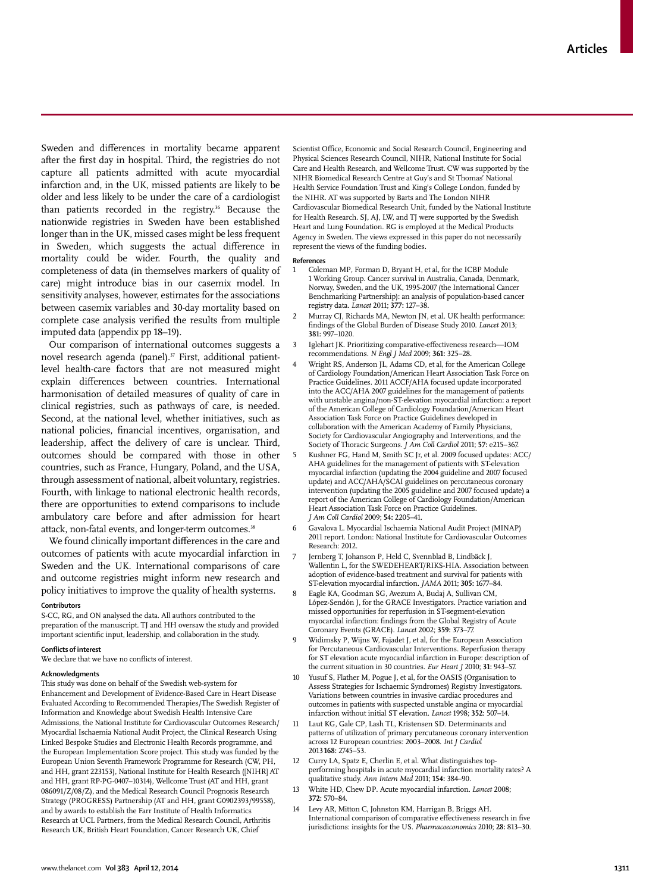Sweden and differences in mortality became apparent after the first day in hospital. Third, the registries do not capture all patients admitted with acute myocardial infarction and, in the UK, missed patients are likely to be older and less likely to be under the care of a cardiologist than patients recorded in the registry.<sup>36</sup> Because the nationwide registries in Sweden have been established longer than in the UK, missed cases might be less frequent in Sweden, which suggests the actual difference in mortality could be wider. Fourth, the quality and completeness of data (in themselves markers of quality of care) might introduce bias in our casemix model. In sensitivity analyses, however, estimates for the associations between casemix variables and 30-day mortality based on complete case analysis verified the results from multiple imputed data (appendix pp 18–19).

Our comparison of international outcomes suggests a novel research agenda (panel).<sup>37</sup> First, additional patientlevel health-care factors that are not measured might explain differences between countries. International harmonisation of detailed measures of quality of care in clinical registries, such as pathways of care, is needed. Second, at the national level, whether initiatives, such as national policies, financial incentives, organisation, and leadership, affect the delivery of care is unclear. Third, outcomes should be compared with those in other countries, such as France, Hungary, Poland, and the USA, through assessment of national, albeit voluntary, registries. Fourth, with linkage to national electronic health records, there are opportunities to extend comparisons to include ambulatory care before and after admission for heart attack, non-fatal events, and longer-term outcomes.<sup>38</sup>

We found clinically important differences in the care and outcomes of patients with acute myocardial infarction in Sweden and the UK. International comparisons of care and outcome registries might inform new research and policy initiatives to improve the quality of health systems.

#### **Contributors**

S-CC, RG, and ON analysed the data. All authors contributed to the preparation of the manuscript. TJ and HH oversaw the study and provided important scientific input, leadership, and collaboration in the study.

#### **Conflicts of interest**

We declare that we have no conflicts of interest.

#### **Acknowledgments**

This study was done on behalf of the Swedish web-system for Enhancement and Development of Evidence-Based Care in Heart Disease Evaluated According to Recommended Therapies/The Swedish Register of Information and Knowledge about Swedish Health Intensive Care Admissions, the National Institute for Cardiovascular Outcomes Research/ Myocardial Ischaemia National Audit Project, the Clinical Research Using Linked Bespoke Studies and Electronic Health Records programme, and the European Implementation Score project. This study was funded by the European Union Seventh Framework Programme for Research (CW, PH, and HH, grant 223153), National Institute for Health Research ([NIHR] AT and HH, grant RP-PG-0407–10314), Wellcome Trust (AT and HH, grant 086091/Z/08/Z), and the Medical Research Council Prognosis Research Strategy (PROGRESS) Partnership (AT and HH, grant G0902393/99558), and by awards to establish the Farr Institute of Health Informatics Research at UCL Partners, from the Medical Research Council, Arthritis Research UK, British Heart Foundation, Cancer Research UK, Chief

Scientist Office, Economic and Social Research Council, Engineering and Physical Sciences Research Council, NIHR, National Institute for Social Care and Health Research, and Wellcome Trust. CW was supported by the NIHR Biomedical Research Centre at Guy's and St Thomas' National Health Service Foundation Trust and King's College London, funded by the NIHR. AT was supported by Barts and The London NIHR Cardiovascular Biomedical Research Unit, funded by the National Institute for Health Research. SJ, AJ, LW, and TJ were supported by the Swedish Heart and Lung Foundation. RG is employed at the Medical Products Agency in Sweden. The views expressed in this paper do not necessarily represent the views of the funding bodies.

#### **References**

- Coleman MP, Forman D, Bryant H, et al, for the ICBP Module 1 Working Group. Cancer survival in Australia, Canada, Denmark, Norway, Sweden, and the UK, 1995-2007 (the International Cancer Benchmarking Partnership): an analysis of population-based cancer registry data. *Lancet* 2011; **377:** 127–38.
- 2 Murray CJ, Richards MA, Newton JN, et al. UK health performance: fi ndings of the Global Burden of Disease Study 2010. *Lancet* 2013; **381:** 997–1020.
- Iglehart JK. Prioritizing comparative-effectiveness research--IOM recommendations. *N Engl J Med* 2009; **361:** 325–28.
- 4 Wright RS, Anderson JL, Adams CD, et al, for the American College of Cardiology Foundation/American Heart Association Task Force on Practice Guidelines. 2011 ACCF/AHA focused update incorporated into the ACC/AHA 2007 guidelines for the management of patients with unstable angina/non-ST-elevation myocardial infarction: a report of the American College of Cardiology Foundation/American Heart Association Task Force on Practice Guidelines developed in collaboration with the American Academy of Family Physicians, Society for Cardiovascular Angiography and Interventions, and the Society of Thoracic Surgeons. *J Am Coll Cardiol* 2011; **57:** e215–367.
- 5 Kushner FG, Hand M, Smith SC Jr, et al. 2009 focused updates: ACC/ AHA guidelines for the management of patients with ST-elevation myocardial infarction (updating the 2004 guideline and 2007 focused update) and ACC/AHA/SCAI guidelines on percutaneous coronary intervention (updating the 2005 guideline and 2007 focused update) a report of the American College of Cardiology Foundation/American Heart Association Task Force on Practice Guidelines. *J Am Coll Cardiol* 2009; **54:** 2205–41.
- 6 Gavalova L. Myocardial Ischaemia National Audit Project (MINAP) 2011 report. London: National Institute for Cardiovascular Outcomes Research: 2012.
- 7 Jernberg T, Johanson P, Held C, Svennblad B, Lindbäck J, Wallentin L, for the SWEDEHEART/RIKS-HIA. Association between adoption of evidence-based treatment and survival for patients with ST-elevation myocardial infarction. *JAMA* 2011; **305:** 1677–84.
- 8 Eagle KA, Goodman SG, Avezum A, Budaj A, Sullivan CM, López-Sendón J, for the GRACE Investigators. Practice variation and missed opportunities for reperfusion in ST-segment-elevation myocardial infarction: findings from the Global Registry of Acute Coronary Events (GRACE). *Lancet* 2002; **359:** 373–77.
- 9 Widimsky P, Wijns W, Fajadet J, et al, for the European Association for Percutaneous Cardiovascular Interventions. Reperfusion therapy for ST elevation acute myocardial infarction in Europe: description of the current situation in 30 countries. *Eur Heart J* 2010; **31:** 943–57.
- 10 Yusuf S, Flather M, Pogue J, et al, for the OASIS (Organisation to Assess Strategies for Ischaemic Syndromes) Registry Investigators. Variations between countries in invasive cardiac procedures and outcomes in patients with suspected unstable angina or myocardial infarction without initial ST elevation. *Lancet* 1998; **352:** 507–14.
- Laut KG, Gale CP, Lash TL, Kristensen SD. Determinants and patterns of utilization of primary percutaneous coronary intervention across 12 European countries: 2003–2008. *Int J Cardiol* 2013 **168:** 2745–53.
- 12 Curry LA, Spatz E, Cherlin E, et al. What distinguishes topperforming hospitals in acute myocardial infarction mortality rates? A qualitative study. *Ann Intern Med* 2011; **154:** 384–90.
- 13 White HD, Chew DP. Acute myocardial infarction. *Lancet* 2008; **372:** 570–84.
- Levy AR, Mitton C, Johnston KM, Harrigan B, Briggs AH. International comparison of comparative effectiveness research in five jurisdictions: insights for the US. *Pharmacoeconomics* 2010; **28:** 813–30.